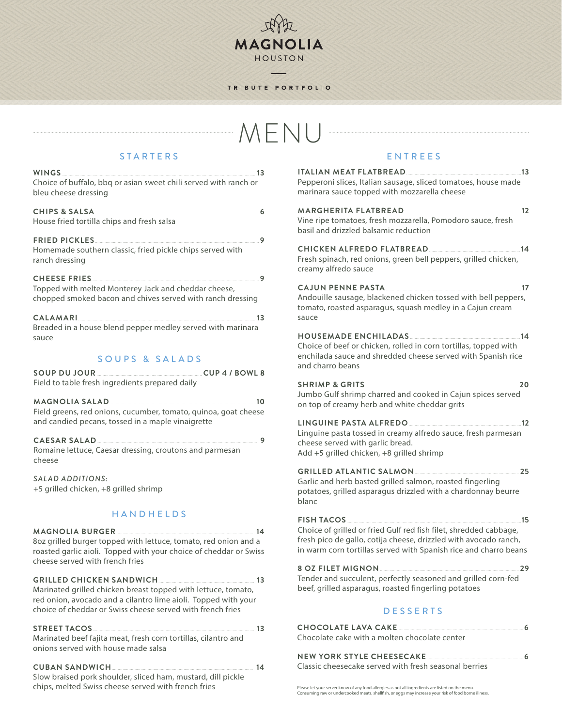## TRIBUTE PORTFOLIO

如此

MAGNOLIA HOUSTON ۷

# MENU

# STARTERS

| Choice of buffalo, bbq or asian sweet chili served with ranch or<br>bleu cheese dressing                                                                                                                                  |
|---------------------------------------------------------------------------------------------------------------------------------------------------------------------------------------------------------------------------|
| CHIPS & SALSA 6<br>House fried tortilla chips and fresh salsa                                                                                                                                                             |
| Homemade southern classic, fried pickle chips served with<br>ranch dressing                                                                                                                                               |
| Topped with melted Monterey Jack and cheddar cheese,<br>chopped smoked bacon and chives served with ranch dressing                                                                                                        |
| CALAMARI 23<br>Breaded in a house blend pepper medley served with marinara<br>sauce                                                                                                                                       |
| SOUPS & SALADS                                                                                                                                                                                                            |
| SOUP DU JOUR COMPARE CUP4 / BOWL 8<br>Field to table fresh ingredients prepared daily                                                                                                                                     |
| Field greens, red onions, cucumber, tomato, quinoa, goat cheese<br>and candied pecans, tossed in a maple vinaigrette                                                                                                      |
| CAESAR SALAD<br>Romaine lettuce, Caesar dressing, croutons and parmesan                                                                                                                                                   |
| cheese                                                                                                                                                                                                                    |
| SALAD ADDITIONS:<br>+5 grilled chicken, +8 grilled shrimp                                                                                                                                                                 |
| <b>HANDHELDS</b>                                                                                                                                                                                                          |
| 8oz grilled burger topped with lettuce, tomato, red onion and a<br>roasted garlic aioli. Topped with your choice of cheddar or Swiss<br>cheese served with french fries                                                   |
| GRILLED CHICKEN SANDWICH<br>Marinated grilled chicken breast topped with lettuce, tomato,<br>red onion, avocado and a cilantro lime aioli. Topped with your<br>choice of cheddar or Swiss cheese served with french fries |
| STREET TACOS <u>  </u><br>Marinated beef fajita meat, fresh corn tortillas, cilantro and<br>onions served with house made salsa                                                                                           |
|                                                                                                                                                                                                                           |

# ENTREES

| Pepperoni slices, Italian sausage, sliced tomatoes, house made<br>marinara sauce topped with mozzarella cheese                                                                                            |  |
|-----------------------------------------------------------------------------------------------------------------------------------------------------------------------------------------------------------|--|
| MARGHERITA FLATBREAD<br>Vine ripe tomatoes, fresh mozzarella, Pomodoro sauce, fresh<br>basil and drizzled balsamic reduction                                                                              |  |
| CHICKEN ALFREDO FLATBREAD [14] 14<br>Fresh spinach, red onions, green bell peppers, grilled chicken,<br>creamy alfredo sauce                                                                              |  |
| Andouille sausage, blackened chicken tossed with bell peppers,<br>tomato, roasted asparagus, squash medley in a Cajun cream<br>sauce                                                                      |  |
| Choice of beef or chicken, rolled in corn tortillas, topped with<br>enchilada sauce and shredded cheese served with Spanish rice<br>and charro beans                                                      |  |
| SHRIMP & GRITS 20<br>Jumbo Gulf shrimp charred and cooked in Cajun spices served<br>on top of creamy herb and white cheddar grits                                                                         |  |
| Linguine pasta tossed in creamy alfredo sauce, fresh parmesan<br>cheese served with garlic bread.<br>Add +5 grilled chicken, +8 grilled shrimp                                                            |  |
| GRILLED ATLANTIC SALMON<br>Garlic and herb basted grilled salmon, roasted fingerling<br>potatoes, grilled asparagus drizzled with a chardonnay beurre<br>blanc                                            |  |
| Choice of grilled or fried Gulf red fish filet, shredded cabbage,<br>fresh pico de gallo, cotija cheese, drizzled with avocado ranch,<br>in warm corn tortillas served with Spanish rice and charro beans |  |
| Tender and succulent, perfectly seasoned and grilled corn-fed<br>beef, grilled asparagus, roasted fingerling potatoes                                                                                     |  |
| <b>DESSERTS</b>                                                                                                                                                                                           |  |
| Chocolate cake with a molten chocolate center                                                                                                                                                             |  |
| NEW YORK STYLE CHEESECAKE MANUSING 6<br>Classic cheesecake served with fresh seasonal berries                                                                                                             |  |

Please let your server know of any food allergies as not all ingredients are listed on the menu. Consuming raw or undercooked meats, shellfish, or eggs may increase your risk of food borne illness.